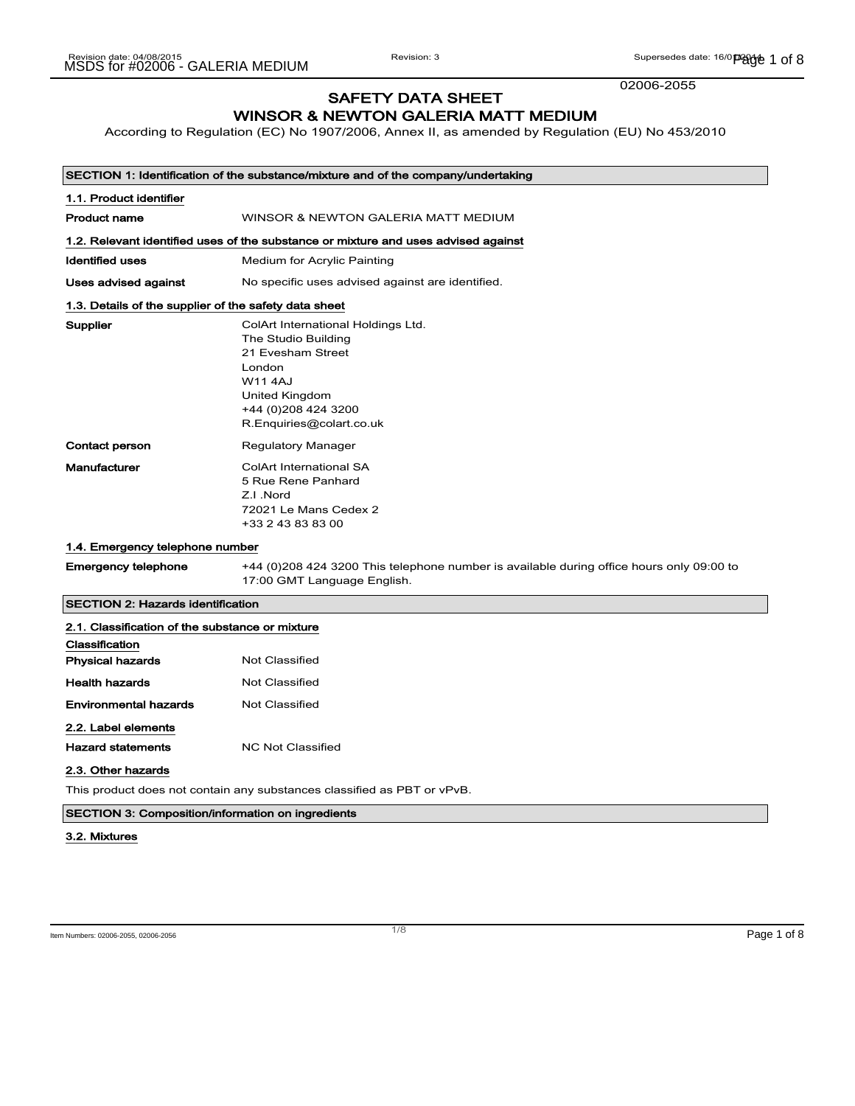02006-2055

## SAFETY DATA SHEET WINSOR & NEWTON GALERIA MATT MEDIUM

According to Regulation (EC) No 1907/2006, Annex II, as amended by Regulation (EU) No 453/2010

|                                                                   | SECTION 1: Identification of the substance/mixture and of the company/undertaking                                                                                               |
|-------------------------------------------------------------------|---------------------------------------------------------------------------------------------------------------------------------------------------------------------------------|
| 1.1. Product identifier                                           |                                                                                                                                                                                 |
| Product name                                                      | WINSOR & NEWTON GALERIA MATT MEDIUM                                                                                                                                             |
|                                                                   | 1.2. Relevant identified uses of the substance or mixture and uses advised against                                                                                              |
| <b>Identified uses</b>                                            | Medium for Acrylic Painting                                                                                                                                                     |
| Uses advised against                                              | No specific uses advised against are identified.                                                                                                                                |
| 1.3. Details of the supplier of the safety data sheet             |                                                                                                                                                                                 |
| Supplier                                                          | ColArt International Holdings Ltd.<br>The Studio Building<br>21 Evesham Street<br>London<br><b>W114AJ</b><br>United Kingdom<br>+44 (0) 208 424 3200<br>R.Enquiries@colart.co.uk |
| <b>Contact person</b>                                             | Regulatory Manager                                                                                                                                                              |
| <b>Manufacturer</b>                                               | ColArt International SA<br>5 Rue Rene Panhard<br>Z.I.Nord<br>72021 Le Mans Cedex 2<br>+33 2 43 83 83 00                                                                         |
| 1.4. Emergency telephone number                                   |                                                                                                                                                                                 |
| <b>Emergency telephone</b>                                        | +44 (0)208 424 3200 This telephone number is available during office hours only 09:00 to<br>17:00 GMT Language English.                                                         |
| <b>SECTION 2: Hazards identification</b>                          |                                                                                                                                                                                 |
| 2.1. Classification of the substance or mixture<br>Classification |                                                                                                                                                                                 |
| <b>Physical hazards</b>                                           | <b>Not Classified</b>                                                                                                                                                           |
| <b>Health hazards</b>                                             | <b>Not Classified</b>                                                                                                                                                           |
| <b>Environmental hazards</b>                                      | <b>Not Classified</b>                                                                                                                                                           |
| 2.2. Label elements                                               |                                                                                                                                                                                 |
| <b>Hazard statements</b>                                          | <b>NC Not Classified</b>                                                                                                                                                        |
| 2.3. Other hazards                                                |                                                                                                                                                                                 |
|                                                                   | This product does not contain any substances classified as PBT or vPvB.                                                                                                         |

## SECTION 3: Composition/information on ingredients

#### 3.2. Mixtures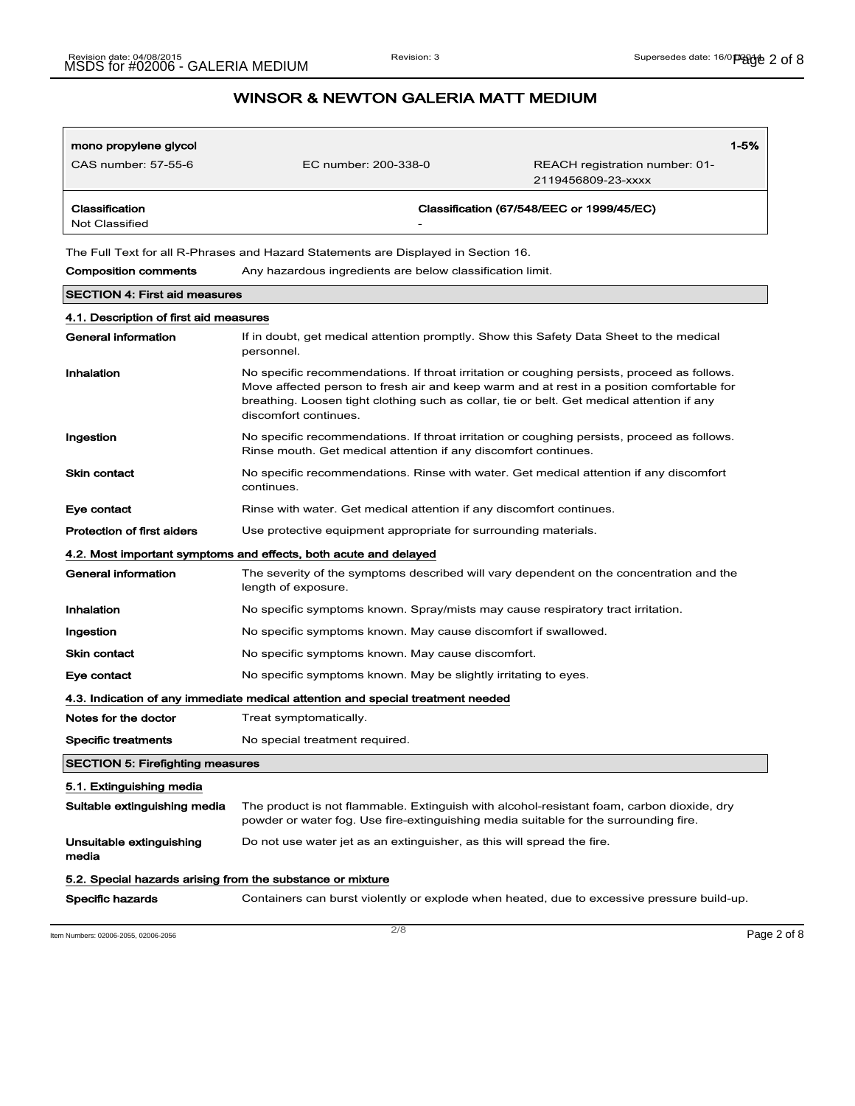| mono propylene glycol<br>CAS number: 57-55-6 | EC number: 200-338-0 | REACH registration number: 01-<br>2119456809-23-xxxx | $1 - 5%$ |
|----------------------------------------------|----------------------|------------------------------------------------------|----------|
| Classification<br>Not Classified             | -                    | Classification (67/548/EEC or 1999/45/EC)            |          |

The Full Text for all R-Phrases and Hazard Statements are Displayed in Section 16.

Composition comments Any hazardous ingredients are below classification limit.

|                                                            | <b>SECTION 4: First aid measures</b>                                                                                                                                                                                                                                                                            |  |
|------------------------------------------------------------|-----------------------------------------------------------------------------------------------------------------------------------------------------------------------------------------------------------------------------------------------------------------------------------------------------------------|--|
| 4.1. Description of first aid measures                     |                                                                                                                                                                                                                                                                                                                 |  |
| <b>General information</b>                                 | If in doubt, get medical attention promptly. Show this Safety Data Sheet to the medical<br>personnel.                                                                                                                                                                                                           |  |
| Inhalation                                                 | No specific recommendations. If throat irritation or coughing persists, proceed as follows.<br>Move affected person to fresh air and keep warm and at rest in a position comfortable for<br>breathing. Loosen tight clothing such as collar, tie or belt. Get medical attention if any<br>discomfort continues. |  |
| Ingestion                                                  | No specific recommendations. If throat irritation or coughing persists, proceed as follows.<br>Rinse mouth. Get medical attention if any discomfort continues.                                                                                                                                                  |  |
| <b>Skin contact</b>                                        | No specific recommendations. Rinse with water. Get medical attention if any discomfort<br>continues.                                                                                                                                                                                                            |  |
| Eye contact                                                | Rinse with water. Get medical attention if any discomfort continues.                                                                                                                                                                                                                                            |  |
| <b>Protection of first aiders</b>                          | Use protective equipment appropriate for surrounding materials.                                                                                                                                                                                                                                                 |  |
|                                                            | 4.2. Most important symptoms and effects, both acute and delayed                                                                                                                                                                                                                                                |  |
| <b>General information</b>                                 | The severity of the symptoms described will vary dependent on the concentration and the<br>length of exposure.                                                                                                                                                                                                  |  |
| Inhalation                                                 | No specific symptoms known. Spray/mists may cause respiratory tract irritation.                                                                                                                                                                                                                                 |  |
| Ingestion                                                  | No specific symptoms known. May cause discomfort if swallowed.                                                                                                                                                                                                                                                  |  |
| <b>Skin contact</b>                                        | No specific symptoms known. May cause discomfort.                                                                                                                                                                                                                                                               |  |
| Eye contact                                                | No specific symptoms known. May be slightly irritating to eyes.                                                                                                                                                                                                                                                 |  |
|                                                            | 4.3. Indication of any immediate medical attention and special treatment needed                                                                                                                                                                                                                                 |  |
| Notes for the doctor                                       | Treat symptomatically.                                                                                                                                                                                                                                                                                          |  |
| <b>Specific treatments</b>                                 | No special treatment required.                                                                                                                                                                                                                                                                                  |  |
| <b>SECTION 5: Firefighting measures</b>                    |                                                                                                                                                                                                                                                                                                                 |  |
| 5.1. Extinguishing media                                   |                                                                                                                                                                                                                                                                                                                 |  |
| Suitable extinguishing media                               | The product is not flammable. Extinguish with alcohol-resistant foam, carbon dioxide, dry<br>powder or water fog. Use fire-extinguishing media suitable for the surrounding fire.                                                                                                                               |  |
| Unsuitable extinguishing<br>media                          | Do not use water jet as an extinguisher, as this will spread the fire.                                                                                                                                                                                                                                          |  |
| 5.2. Special hazards arising from the substance or mixture |                                                                                                                                                                                                                                                                                                                 |  |
| <b>Specific hazards</b>                                    | Containers can burst violently or explode when heated, due to excessive pressure build-up.                                                                                                                                                                                                                      |  |

Item Numbers: 02006-2055, 02006-2056 Page 2 of 8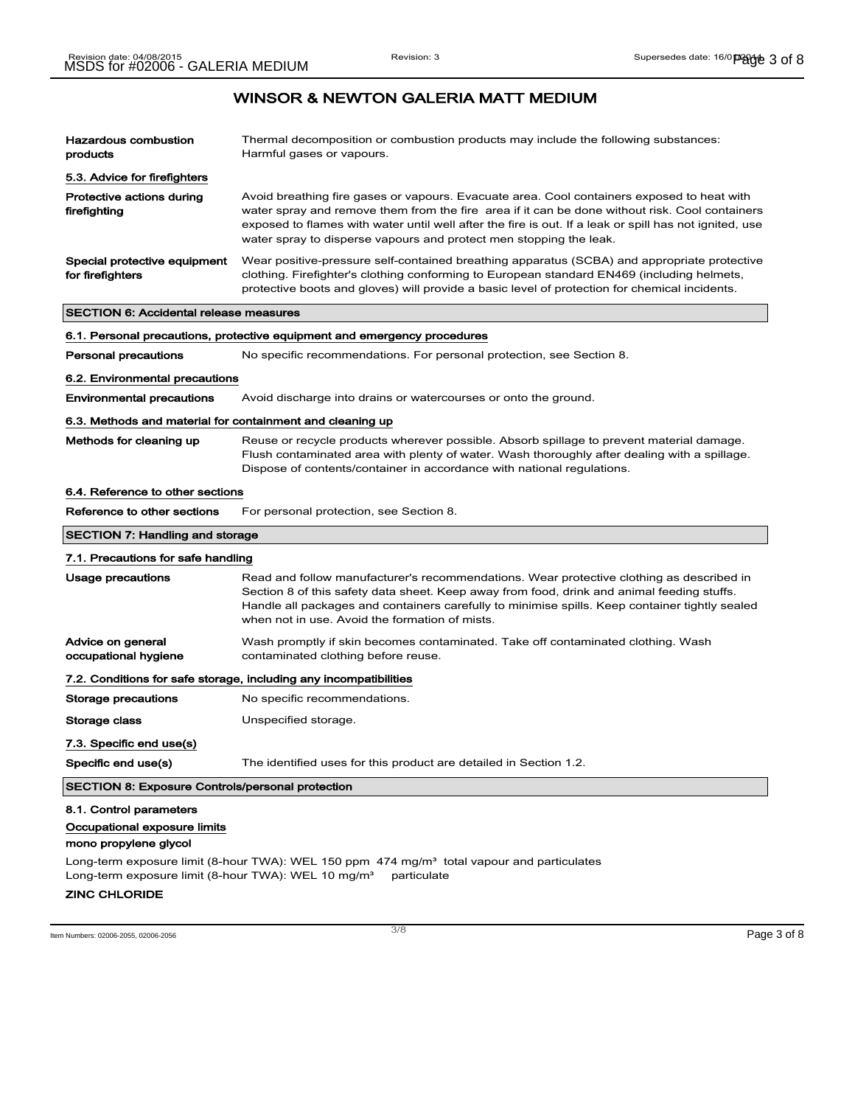| Hazardous combustion<br>products                                                                                                                                            | Thermal decomposition or combustion products may include the following substances:<br>Harmful gases or vapours.                                                                                                                                                                                                                                                              |
|-----------------------------------------------------------------------------------------------------------------------------------------------------------------------------|------------------------------------------------------------------------------------------------------------------------------------------------------------------------------------------------------------------------------------------------------------------------------------------------------------------------------------------------------------------------------|
| 5.3. Advice for firefighters                                                                                                                                                |                                                                                                                                                                                                                                                                                                                                                                              |
| Protective actions during<br>firefighting                                                                                                                                   | Avoid breathing fire gases or vapours. Evacuate area. Cool containers exposed to heat with<br>water spray and remove them from the fire area if it can be done without risk. Cool containers<br>exposed to flames with water until well after the fire is out. If a leak or spill has not ignited, use<br>water spray to disperse vapours and protect men stopping the leak. |
| Special protective equipment<br>for firefighters                                                                                                                            | Wear positive-pressure self-contained breathing apparatus (SCBA) and appropriate protective<br>clothing. Firefighter's clothing conforming to European standard EN469 (including helmets,<br>protective boots and gloves) will provide a basic level of protection for chemical incidents.                                                                                   |
| <b>SECTION 6: Accidental release measures</b>                                                                                                                               |                                                                                                                                                                                                                                                                                                                                                                              |
|                                                                                                                                                                             | 6.1. Personal precautions, protective equipment and emergency procedures                                                                                                                                                                                                                                                                                                     |
| <b>Personal precautions</b>                                                                                                                                                 | No specific recommendations. For personal protection, see Section 8.                                                                                                                                                                                                                                                                                                         |
| 6.2. Environmental precautions                                                                                                                                              |                                                                                                                                                                                                                                                                                                                                                                              |
| <b>Environmental precautions</b>                                                                                                                                            | Avoid discharge into drains or watercourses or onto the ground.                                                                                                                                                                                                                                                                                                              |
| 6.3. Methods and material for containment and cleaning up                                                                                                                   |                                                                                                                                                                                                                                                                                                                                                                              |
| Methods for cleaning up                                                                                                                                                     | Reuse or recycle products wherever possible. Absorb spillage to prevent material damage.<br>Flush contaminated area with plenty of water. Wash thoroughly after dealing with a spillage.<br>Dispose of contents/container in accordance with national regulations.                                                                                                           |
| 6.4. Reference to other sections                                                                                                                                            |                                                                                                                                                                                                                                                                                                                                                                              |
| Reference to other sections                                                                                                                                                 | For personal protection, see Section 8.                                                                                                                                                                                                                                                                                                                                      |
| <b>SECTION 7: Handling and storage</b>                                                                                                                                      |                                                                                                                                                                                                                                                                                                                                                                              |
| 7.1. Precautions for safe handling                                                                                                                                          |                                                                                                                                                                                                                                                                                                                                                                              |
| Usage precautions                                                                                                                                                           | Read and follow manufacturer's recommendations. Wear protective clothing as described in<br>Section 8 of this safety data sheet. Keep away from food, drink and animal feeding stuffs.<br>Handle all packages and containers carefully to minimise spills. Keep container tightly sealed<br>when not in use. Avoid the formation of mists.                                   |
| Advice on general<br>occupational hygiene                                                                                                                                   | Wash promptly if skin becomes contaminated. Take off contaminated clothing. Wash<br>contaminated clothing before reuse.                                                                                                                                                                                                                                                      |
|                                                                                                                                                                             | 7.2. Conditions for safe storage, including any incompatibilities                                                                                                                                                                                                                                                                                                            |
| Storage precautions                                                                                                                                                         | No specific recommendations.                                                                                                                                                                                                                                                                                                                                                 |
| Storage class                                                                                                                                                               | Unspecified storage.                                                                                                                                                                                                                                                                                                                                                         |
| 7.3. Specific end use(s)                                                                                                                                                    |                                                                                                                                                                                                                                                                                                                                                                              |
| Specific end use(s)                                                                                                                                                         | The identified uses for this product are detailed in Section 1.2.                                                                                                                                                                                                                                                                                                            |
| <b>SECTION 8: Exposure Controls/personal protection</b>                                                                                                                     |                                                                                                                                                                                                                                                                                                                                                                              |
| 8.1. Control parameters<br>Occupational exposure limits<br>mono propylene glycol<br>Long-term exposure limit (8-hour TWA): WEL 10 mg/m <sup>3</sup><br><b>ZINC CHLORIDE</b> | Long-term exposure limit (8-hour TWA): WEL 150 ppm $474$ mg/m <sup>3</sup> total vapour and particulates<br>particulate                                                                                                                                                                                                                                                      |
|                                                                                                                                                                             |                                                                                                                                                                                                                                                                                                                                                                              |

 $\frac{3}{8}$  Item Numbers: 02006-2055, 02006-2056 **Page 3 of 8**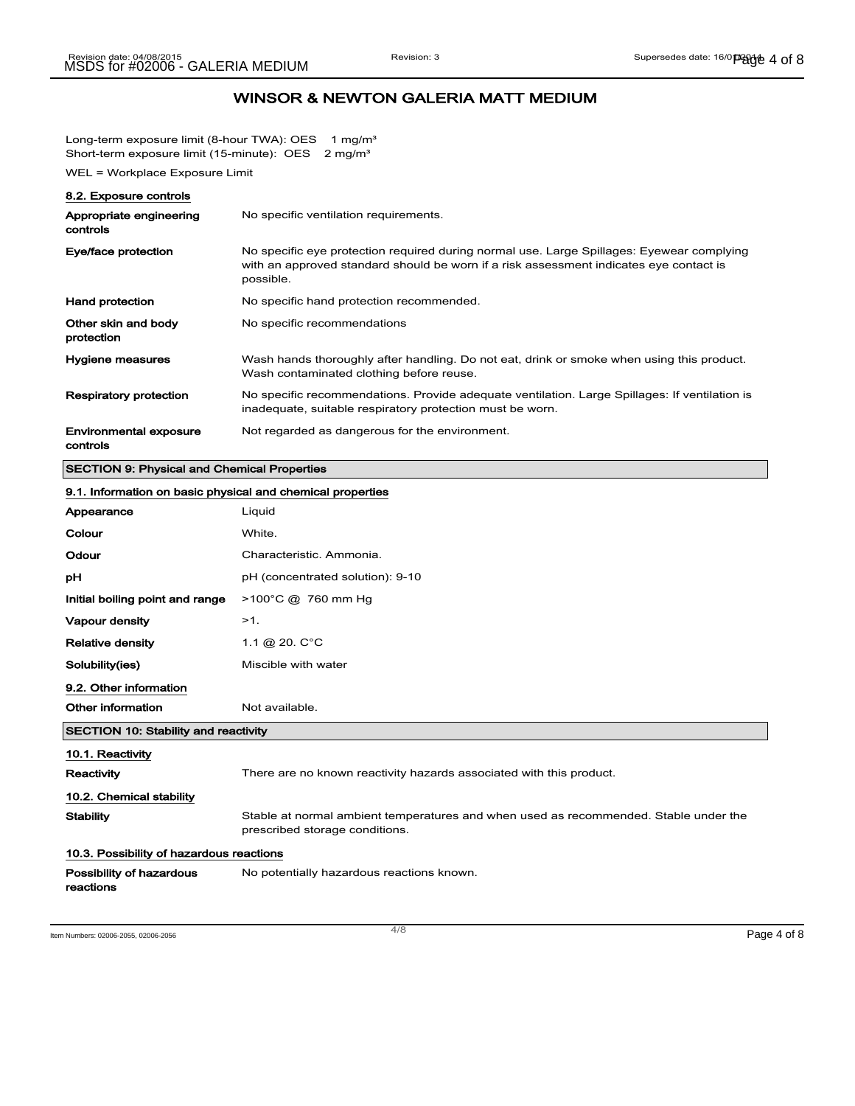Long-term exposure limit (8-hour TWA): OES 1 mg/m<sup>3</sup> Short-term exposure limit (15-minute): OES 2 mg/m<sup>3</sup>

WEL = Workplace Exposure Limit

| 8.2. Exposure controls                    |                                                                                                                                                                                                  |
|-------------------------------------------|--------------------------------------------------------------------------------------------------------------------------------------------------------------------------------------------------|
| Appropriate engineering<br>controls       | No specific ventilation requirements.                                                                                                                                                            |
| Eye/face protection                       | No specific eye protection required during normal use. Large Spillages: Eyewear complying<br>with an approved standard should be worn if a risk assessment indicates eye contact is<br>possible. |
| <b>Hand protection</b>                    | No specific hand protection recommended.                                                                                                                                                         |
| Other skin and body<br>protection         | No specific recommendations                                                                                                                                                                      |
| Hygiene measures                          | Wash hands thoroughly after handling. Do not eat, drink or smoke when using this product.<br>Wash contaminated clothing before reuse.                                                            |
| <b>Respiratory protection</b>             | No specific recommendations. Provide adequate ventilation. Large Spillages: If ventilation is<br>inadequate, suitable respiratory protection must be worn.                                       |
| <b>Environmental exposure</b><br>controls | Not regarded as dangerous for the environment.                                                                                                                                                   |

## SECTION 9: Physical and Chemical Properties

| 9.1. Information on basic physical and chemical properties |                                                                                                                        |
|------------------------------------------------------------|------------------------------------------------------------------------------------------------------------------------|
| Appearance                                                 | Liquid                                                                                                                 |
| Colour                                                     | White.                                                                                                                 |
| Odour                                                      | Characteristic. Ammonia.                                                                                               |
| рH                                                         | pH (concentrated solution): 9-10                                                                                       |
| Initial boiling point and range                            | >100°C @ 760 mm Hg                                                                                                     |
| Vapour density                                             | $>1$ .                                                                                                                 |
| <b>Relative density</b>                                    | 1.1 @ 20. $C^{\circ}C$                                                                                                 |
| Solubility(ies)                                            | Miscible with water                                                                                                    |
| 9.2. Other information                                     |                                                                                                                        |
| Other information                                          | Not available.                                                                                                         |
| <b>SECTION 10: Stability and reactivity</b>                |                                                                                                                        |
| 10.1. Reactivity                                           |                                                                                                                        |
| Reactivity                                                 | There are no known reactivity hazards associated with this product.                                                    |
| 10.2. Chemical stability                                   |                                                                                                                        |
| <b>Stability</b>                                           | Stable at normal ambient temperatures and when used as recommended. Stable under the<br>prescribed storage conditions. |
| 10.3. Possibility of hazardous reactions                   |                                                                                                                        |
| Possibility of hazardous<br>reactions                      | No potentially hazardous reactions known.                                                                              |

Item Numbers: 02006-2055, 02006-2056 Page 4 of 8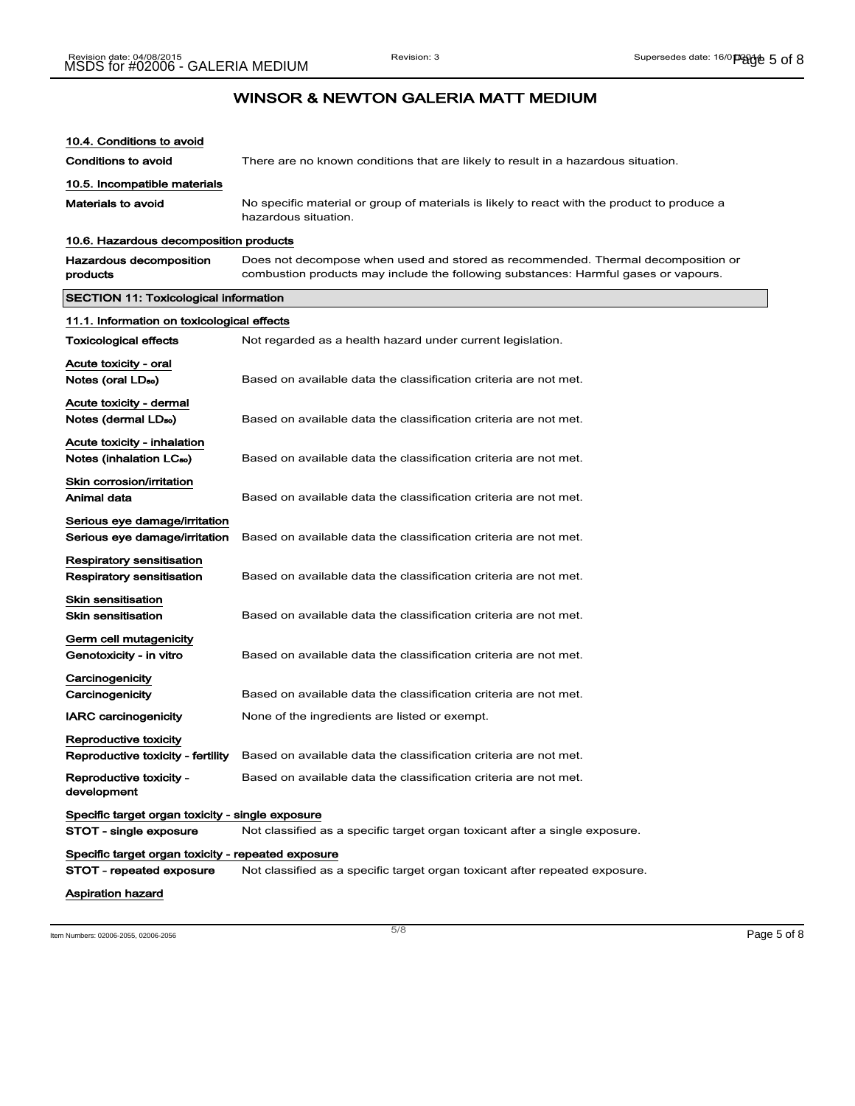| 10.4. Conditions to avoid                                      |                                                                                                                                                                         |
|----------------------------------------------------------------|-------------------------------------------------------------------------------------------------------------------------------------------------------------------------|
| Conditions to avoid                                            | There are no known conditions that are likely to result in a hazardous situation.                                                                                       |
| 10.5. Incompatible materials                                   |                                                                                                                                                                         |
| Materials to avoid                                             | No specific material or group of materials is likely to react with the product to produce a<br>hazardous situation.                                                     |
| 10.6. Hazardous decomposition products                         |                                                                                                                                                                         |
| Hazardous decomposition<br>products                            | Does not decompose when used and stored as recommended. Thermal decomposition or<br>combustion products may include the following substances: Harmful gases or vapours. |
| <b>SECTION 11: Toxicological information</b>                   |                                                                                                                                                                         |
| 11.1. Information on toxicological effects                     |                                                                                                                                                                         |
| Toxicological effects                                          | Not regarded as a health hazard under current legislation.                                                                                                              |
| Acute toxicity - oral<br>Notes (oral LD <sub>50</sub> )        | Based on available data the classification criteria are not met.                                                                                                        |
| Acute toxicity - dermal<br>Notes (dermal LD <sub>so</sub> )    | Based on available data the classification criteria are not met.                                                                                                        |
| Acute toxicity - inhalation<br>Notes (inhalation LCso)         | Based on available data the classification criteria are not met.                                                                                                        |
| Skin corrosion/irritation<br>Animal data                       | Based on available data the classification criteria are not met.                                                                                                        |
| Serious eye damage/irritation<br>Serious eye damage/irritation | Based on available data the classification criteria are not met.                                                                                                        |
| Respiratory sensitisation<br>Respiratory sensitisation         | Based on available data the classification criteria are not met.                                                                                                        |
| Skin sensitisation<br><b>Skin sensitisation</b>                | Based on available data the classification criteria are not met.                                                                                                        |
| Germ cell mutagenicity<br>Genotoxicity - in vitro              | Based on available data the classification criteria are not met.                                                                                                        |
| Carcinogenicity<br>Carcinogenicity                             | Based on available data the classification criteria are not met.                                                                                                        |
| <b>IARC carcinogenicity</b>                                    | None of the ingredients are listed or exempt.                                                                                                                           |
| Reproductive toxicity<br>Reproductive toxicity - fertility     | Based on available data the classification criteria are not met.                                                                                                        |
| Reproductive toxicity -<br>development                         | Based on available data the classification criteria are not met.                                                                                                        |
| Specific target organ toxicity - single exposure               |                                                                                                                                                                         |
| STOT - single exposure                                         | Not classified as a specific target organ toxicant after a single exposure.                                                                                             |
| Specific target organ toxicity - repeated exposure             |                                                                                                                                                                         |
| STOT - repeated exposure                                       | Not classified as a specific target organ toxicant after repeated exposure.                                                                                             |
| <b>Aspiration hazard</b>                                       |                                                                                                                                                                         |

Item Numbers: 02006-2055, 02006-2056 Page 5 of 8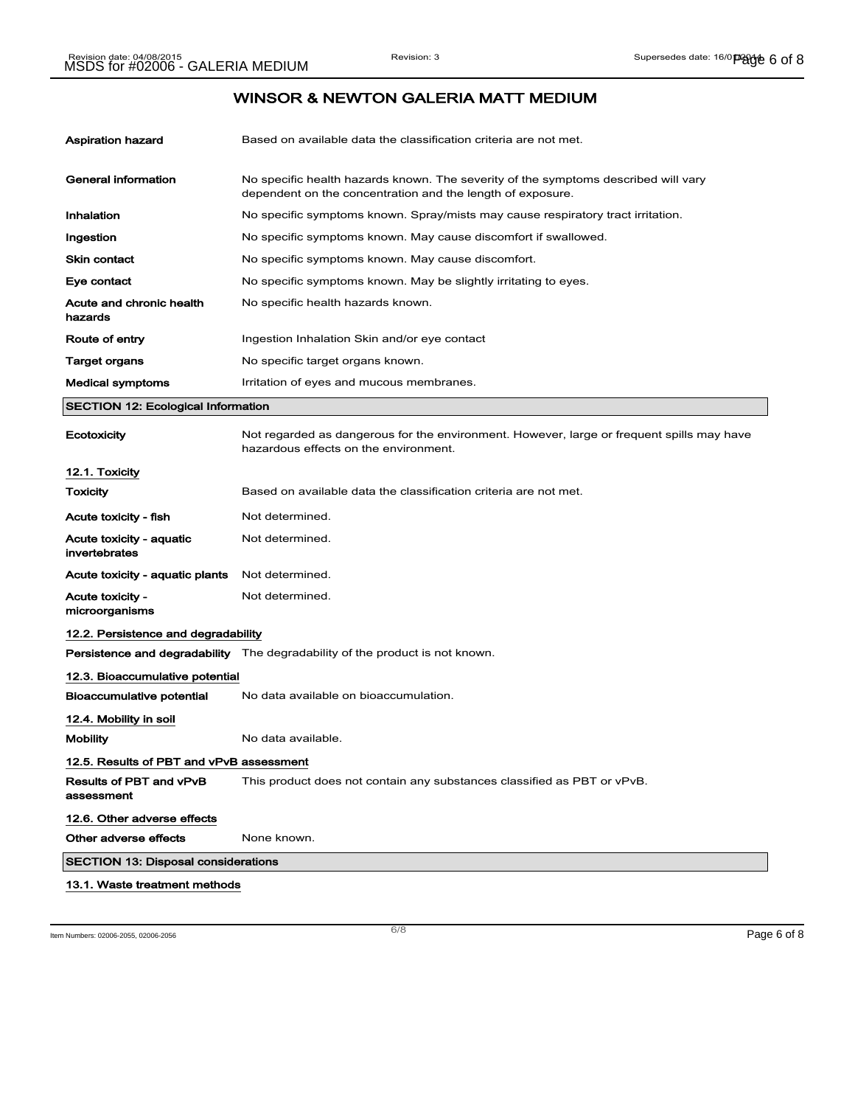| Aspiration hazard                          | Based on available data the classification criteria are not met.                                                                                 |
|--------------------------------------------|--------------------------------------------------------------------------------------------------------------------------------------------------|
| <b>General information</b>                 | No specific health hazards known. The severity of the symptoms described will vary<br>dependent on the concentration and the length of exposure. |
| Inhalation                                 | No specific symptoms known. Spray/mists may cause respiratory tract irritation.                                                                  |
| Ingestion                                  | No specific symptoms known. May cause discomfort if swallowed.                                                                                   |
| Skin contact                               | No specific symptoms known. May cause discomfort.                                                                                                |
| Eye contact                                | No specific symptoms known. May be slightly irritating to eyes.                                                                                  |
| Acute and chronic health<br>hazards        | No specific health hazards known.                                                                                                                |
| Route of entry                             | Ingestion Inhalation Skin and/or eye contact                                                                                                     |
| Target organs                              | No specific target organs known.                                                                                                                 |
| <b>Medical symptoms</b>                    | Irritation of eyes and mucous membranes.                                                                                                         |
| <b>SECTION 12: Ecological Information</b>  |                                                                                                                                                  |
| Ecotoxicity                                | Not regarded as dangerous for the environment. However, large or frequent spills may have<br>hazardous effects on the environment.               |
| 12.1. Toxicity                             |                                                                                                                                                  |
| Toxicity                                   | Based on available data the classification criteria are not met.                                                                                 |
| Acute toxicity - fish                      | Not determined.                                                                                                                                  |
| Acute toxicity - aquatic<br>invertebrates  | Not determined.                                                                                                                                  |
| Acute toxicity - aquatic plants            | Not determined.                                                                                                                                  |
| Acute toxicity -<br>microorganisms         | Not determined.                                                                                                                                  |
| 12.2. Persistence and degradability        |                                                                                                                                                  |
|                                            | <b>Persistence and degradability</b> The degradability of the product is not known.                                                              |
| 12.3. Bioaccumulative potential            |                                                                                                                                                  |
| Bioaccumulative potential                  | No data available on bioaccumulation.                                                                                                            |
| 12.4. Mobility in soil                     |                                                                                                                                                  |
| <b>Mobility</b>                            | No data available.                                                                                                                               |
| 12.5. Results of PBT and vPvB assessment   |                                                                                                                                                  |
| Results of PBT and vPvB<br>assessment      | This product does not contain any substances classified as PBT or vPvB.                                                                          |
| 12.6. Other adverse effects                |                                                                                                                                                  |
| Other adverse effects                      | None known.                                                                                                                                      |
| <b>SECTION 13: Disposal considerations</b> |                                                                                                                                                  |
| 13.1. Waste treatment methods              |                                                                                                                                                  |

Item Numbers: 02006-2055, 02006-2056 Page 6 of 8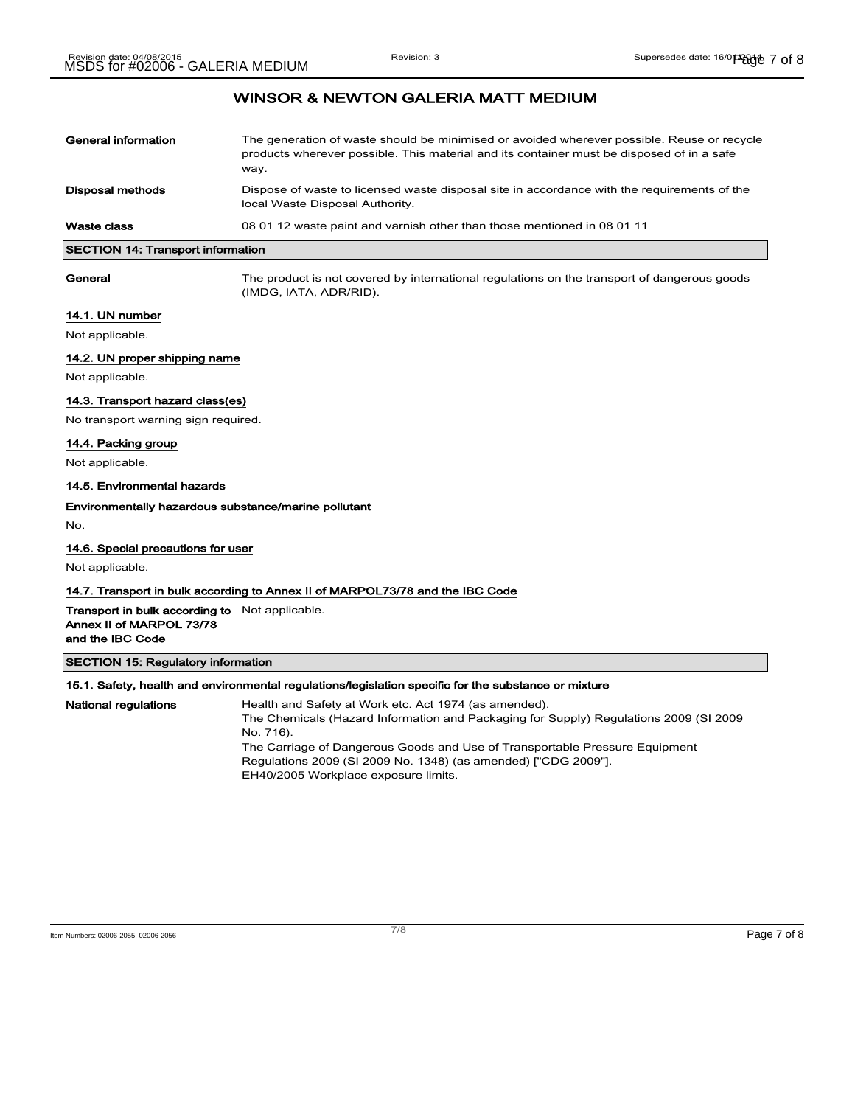| General information                      | The generation of waste should be minimised or avoided wherever possible. Reuse or recycle<br>products wherever possible. This material and its container must be disposed of in a safe<br>way. |
|------------------------------------------|-------------------------------------------------------------------------------------------------------------------------------------------------------------------------------------------------|
| <b>Disposal methods</b>                  | Dispose of waste to licensed waste disposal site in accordance with the requirements of the<br>local Waste Disposal Authority.                                                                  |
| Waste class                              | 08 01 12 waste paint and varnish other than those mentioned in 08 01 11                                                                                                                         |
| <b>SECTION 14: Transport information</b> |                                                                                                                                                                                                 |

General The product is not covered by international regulations on the transport of dangerous goods (IMDG, IATA, ADR/RID).

## 14.1. UN number

Not applicable.

## 14.2. UN proper shipping name

Not applicable.

## 14.3. Transport hazard class(es)

No transport warning sign required.

## 14.4. Packing group

Not applicable.

#### 14.5. Environmental hazards

## Environmentally hazardous substance/marine pollutant

No.

#### 14.6. Special precautions for user

Not applicable.

## 14.7. Transport in bulk according to Annex II of MARPOL73/78 and the IBC Code

Transport in bulk according to Not applicable. Annex II of MARPOL 73/78 and the IBC Code

SECTION 15: Regulatory information

| 15.1. Safety, health and environmental regulations/legislation specific for the substance or mixture |                                                                                       |  |
|------------------------------------------------------------------------------------------------------|---------------------------------------------------------------------------------------|--|
| <b>National regulations</b>                                                                          | Health and Safety at Work etc. Act 1974 (as amended).                                 |  |
|                                                                                                      | The Chemicals (Hazard Information and Packaging for Supply) Regulations 2009 (SI 2009 |  |
|                                                                                                      | No. 716).                                                                             |  |
|                                                                                                      | The Carriage of Dangerous Goods and Use of Transportable Pressure Equipment           |  |
|                                                                                                      | Regulations 2009 (SI 2009 No. 1348) (as amended) ["CDG 2009"].                        |  |
|                                                                                                      | EH40/2005 Workplace exposure limits.                                                  |  |